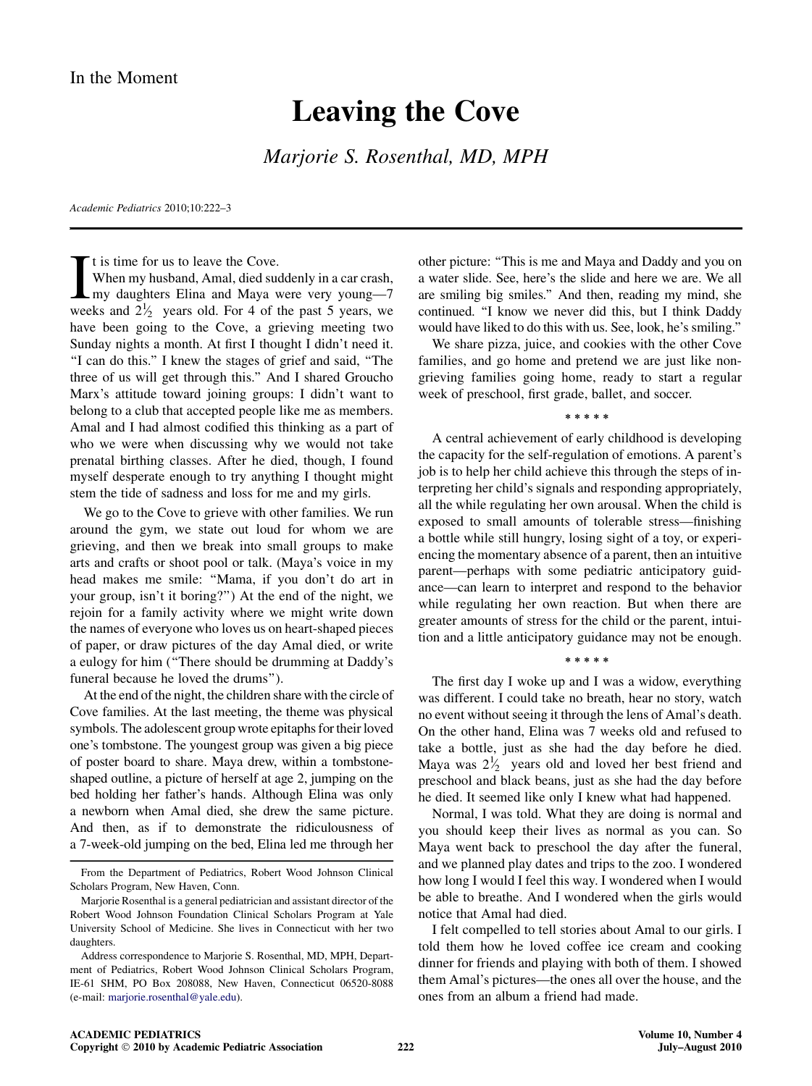## Leaving the Cove

Marjorie S. Rosenthal, MD, MPH

Academic Pediatrics 2010;10:222–3

t is time for us to leave the Cove.

 $\prod_{\text{wee}}$ When my husband, Amal, died suddenly in a car crash, my daughters Elina and Maya were very young—7 weeks and  $2\frac{1}{2}$  years old. For 4 of the past 5 years, we ⁄ have been going to the Cove, a grieving meeting two Sunday nights a month. At first I thought I didn't need it. ''I can do this.'' I knew the stages of grief and said, ''The three of us will get through this.'' And I shared Groucho Marx's attitude toward joining groups: I didn't want to belong to a club that accepted people like me as members. Amal and I had almost codified this thinking as a part of who we were when discussing why we would not take prenatal birthing classes. After he died, though, I found myself desperate enough to try anything I thought might stem the tide of sadness and loss for me and my girls.

We go to the Cove to grieve with other families. We run around the gym, we state out loud for whom we are grieving, and then we break into small groups to make arts and crafts or shoot pool or talk. (Maya's voice in my head makes me smile: ''Mama, if you don't do art in your group, isn't it boring?'') At the end of the night, we rejoin for a family activity where we might write down the names of everyone who loves us on heart-shaped pieces of paper, or draw pictures of the day Amal died, or write a eulogy for him (''There should be drumming at Daddy's funeral because he loved the drums'').

At the end of the night, the children share with the circle of Cove families. At the last meeting, the theme was physical symbols. The adolescent group wrote epitaphs for their loved one's tombstone. The youngest group was given a big piece of poster board to share. Maya drew, within a tombstoneshaped outline, a picture of herself at age 2, jumping on the bed holding her father's hands. Although Elina was only a newborn when Amal died, she drew the same picture. And then, as if to demonstrate the ridiculousness of a 7-week-old jumping on the bed, Elina led me through her

other picture: ''This is me and Maya and Daddy and you on a water slide. See, here's the slide and here we are. We all are smiling big smiles.'' And then, reading my mind, she continued. ''I know we never did this, but I think Daddy would have liked to do this with us. See, look, he's smiling.''

We share pizza, juice, and cookies with the other Cove families, and go home and pretend we are just like nongrieving families going home, ready to start a regular week of preschool, first grade, ballet, and soccer.

)))))

A central achievement of early childhood is developing the capacity for the self-regulation of emotions. A parent's job is to help her child achieve this through the steps of interpreting her child's signals and responding appropriately, all the while regulating her own arousal. When the child is exposed to small amounts of tolerable stress—finishing a bottle while still hungry, losing sight of a toy, or experiencing the momentary absence of a parent, then an intuitive parent—perhaps with some pediatric anticipatory guidance—can learn to interpret and respond to the behavior while regulating her own reaction. But when there are greater amounts of stress for the child or the parent, intuition and a little anticipatory guidance may not be enough.

The first day I woke up and I was a widow, everything was different. I could take no breath, hear no story, watch no event without seeing it through the lens of Amal's death. On the other hand, Elina was 7 weeks old and refused to take a bottle, just as she had the day before he died. Maya was  $2\frac{1}{2}$  years old and loved her best friend and ⁄ preschool and black beans, just as she had the day before he died. It seemed like only I knew what had happened.

\*\*\*\*\*

Normal, I was told. What they are doing is normal and you should keep their lives as normal as you can. So Maya went back to preschool the day after the funeral, and we planned play dates and trips to the zoo. I wondered how long I would I feel this way. I wondered when I would be able to breathe. And I wondered when the girls would notice that Amal had died.

I felt compelled to tell stories about Amal to our girls. I told them how he loved coffee ice cream and cooking dinner for friends and playing with both of them. I showed them Amal's pictures—the ones all over the house, and the ones from an album a friend had made.

From the Department of Pediatrics, Robert Wood Johnson Clinical Scholars Program, New Haven, Conn.

Marjorie Rosenthal is a general pediatrician and assistant director of the Robert Wood Johnson Foundation Clinical Scholars Program at Yale University School of Medicine. She lives in Connecticut with her two daughters.

Address correspondence to Marjorie S. Rosenthal, MD, MPH, Department of Pediatrics, Robert Wood Johnson Clinical Scholars Program, IE-61 SHM, PO Box 208088, New Haven, Connecticut 06520-8088 (e-mail: [marjorie.rosenthal@yale.edu](mailto:marjorie.rosenthal@yale.edu)).